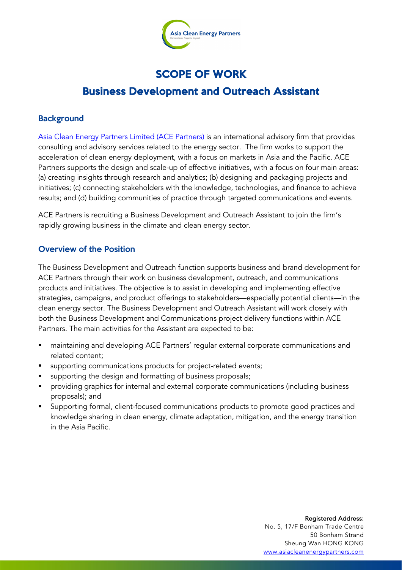

# SCOPE OF WORK Business Development and Outreach Assistant

## **Background**

Asia Clean Energy Partners Limited (ACE Partners) is an international advisory firm that provides consulting and advisory services related to the energy sector. The firm works to support the acceleration of clean energy deployment, with a focus on markets in Asia and the Pacific. ACE Partners supports the design and scale-up of effective initiatives, with a focus on four main areas: (a) creating insights through research and analytics; (b) designing and packaging projects and initiatives; (c) connecting stakeholders with the knowledge, technologies, and finance to achieve results; and (d) building communities of practice through targeted communications and events.

ACE Partners is recruiting a Business Development and Outreach Assistant to join the firm's rapidly growing business in the climate and clean energy sector.

## Overview of the Position

The Business Development and Outreach function supports business and brand development for ACE Partners through their work on business development, outreach, and communications products and initiatives. The objective is to assist in developing and implementing effective strategies, campaigns, and product offerings to stakeholders—especially potential clients—in the clean energy sector. The Business Development and Outreach Assistant will work closely with both the Business Development and Communications project delivery functions within ACE Partners. The main activities for the Assistant are expected to be:

- § maintaining and developing ACE Partners' regular external corporate communications and related content;
- supporting communications products for project-related events;
- supporting the design and formatting of business proposals;
- § providing graphics for internal and external corporate communications (including business proposals); and
- § Supporting formal, client-focused communications products to promote good practices and knowledge sharing in clean energy, climate adaptation, mitigation, and the energy transition in the Asia Pacific.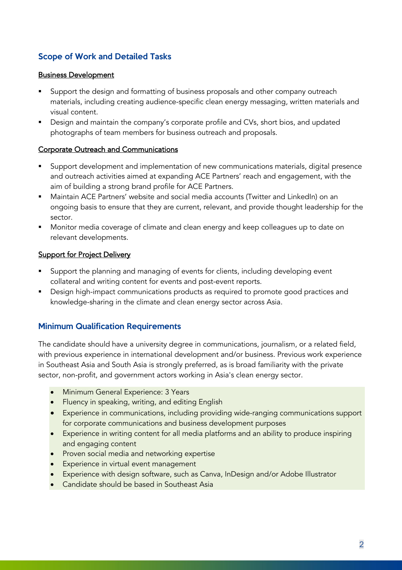# Scope of Work and Detailed Tasks

### Business Development

- Support the design and formatting of business proposals and other company outreach materials, including creating audience-specific clean energy messaging, written materials and visual content.
- Design and maintain the company's corporate profile and CVs, short bios, and updated photographs of team members for business outreach and proposals.

#### Corporate Outreach and Communications

- § Support development and implementation of new communications materials, digital presence and outreach activities aimed at expanding ACE Partners' reach and engagement, with the aim of building a strong brand profile for ACE Partners.
- Maintain ACE Partners' website and social media accounts (Twitter and LinkedIn) on an ongoing basis to ensure that they are current, relevant, and provide thought leadership for the sector.
- § Monitor media coverage of climate and clean energy and keep colleagues up to date on relevant developments.

## **Support for Project Delivery**

- Support the planning and managing of events for clients, including developing event collateral and writing content for events and post-event reports.
- Design high-impact communications products as required to promote good practices and knowledge-sharing in the climate and clean energy sector across Asia.

## Minimum Qualification Requirements

The candidate should have a university degree in communications, journalism, or a related field, with previous experience in international development and/or business. Previous work experience in Southeast Asia and South Asia is strongly preferred, as is broad familiarity with the private sector, non-profit, and government actors working in Asia's clean energy sector.

- Minimum General Experience: 3 Years
- Fluency in speaking, writing, and editing English
- Experience in communications, including providing wide-ranging communications support for corporate communications and business development purposes
- Experience in writing content for all media platforms and an ability to produce inspiring and engaging content
- Proven social media and networking expertise
- Experience in virtual event management
- Experience with design software, such as Canva, InDesign and/or Adobe Illustrator
- Candidate should be based in Southeast Asia